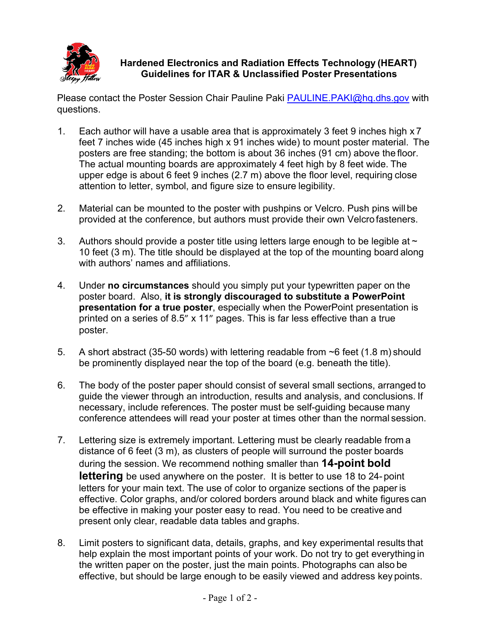

#### **Hardened Electronics and Radiation Effects Technology (HEART) Guidelines for ITAR & Unclassified Poster Presentations**

Please contact the Poster Session Chair Pauline Paki [PAULINE.PAKI@hq.dhs.gov](mailto:PAULINE.PAKI@hq.dhs.gov) with questions.

- 1. Each author will have a usable area that is approximately 3 feet 9 inches high x 7 feet 7 inches wide (45 inches high x 91 inches wide) to mount poster material. The posters are free standing; the bottom is about 36 inches (91 cm) above the floor. The actual mounting boards are approximately 4 feet high by 8 feet wide. The upper edge is about 6 feet 9 inches (2.7 m) above the floor level, requiring close attention to letter, symbol, and figure size to ensure legibility.
- 2. Material can be mounted to the poster with pushpins or Velcro. Push pins will be provided at the conference, but authors must provide their own Velcro fasteners.
- 3. Authors should provide a poster title using letters large enough to be legible at  $\sim$ 10 feet (3 m). The title should be displayed at the top of the mounting board along with authors' names and affiliations.
- 4. Under **no circumstances** should you simply put your typewritten paper on the poster board. Also, **it is strongly discouraged to substitute a PowerPoint presentation for a true poster**, especially when the PowerPoint presentation is printed on a series of 8.5" x 11" pages. This is far less effective than a true poster.
- 5. A short abstract (35-50 words) with lettering readable from ~6 feet (1.8 m) should be prominently displayed near the top of the board (e.g. beneath the title).
- 6. The body of the poster paper should consist of several small sections, arranged to guide the viewer through an introduction, results and analysis, and conclusions. If necessary, include references. The poster must be self-guiding because many conference attendees will read your poster at times other than the normal session.
- 7. Lettering size is extremely important. Lettering must be clearly readable from a distance of 6 feet (3 m), as clusters of people will surround the poster boards during the session. We recommend nothing smaller than **14-point bold lettering** be used anywhere on the poster. It is better to use 18 to 24- point letters for your main text. The use of color to organize sections of the paper is effective. Color graphs, and/or colored borders around black and white figures can be effective in making your poster easy to read. You need to be creative and present only clear, readable data tables and graphs.
- 8. Limit posters to significant data, details, graphs, and key experimental results that help explain the most important points of your work. Do not try to get everything in the written paper on the poster, just the main points. Photographs can also be effective, but should be large enough to be easily viewed and address key points.